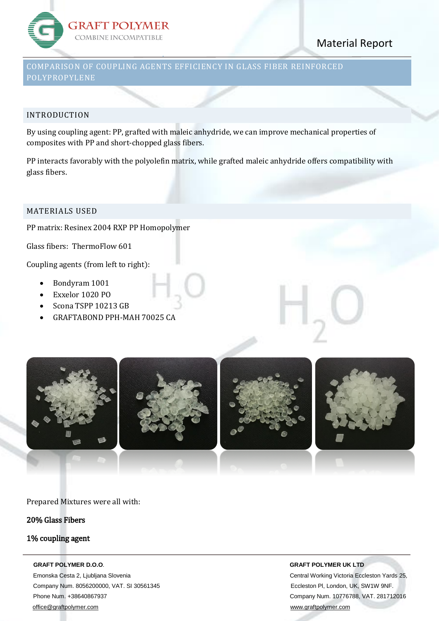

# Material Report

# COMPARISON OF COUPLING AGENTS EFFICIENCY IN GLASS FIBER REINFORCED POLYPROPYLENE

## INTRODUCTION

By using coupling agent: PP, grafted with maleic anhydride, we can improve mechanical properties of composites with PP and short-chopped glass fibers.

PP interacts favorably with the polyolefin matrix, while grafted maleic anhydride offers compatibility with glass fibers.

## MATERIALS USED

PP matrix: Resinex 2004 RXP PP Homopolymer

Glass fibers: ThermoFlow 601

Coupling agents (from left to right):

- Bondyram 1001
- Exxelor 1020 PO
- Scona TSPP 10213 GB
- GRAFTABOND PPH-MAH 70025 CA



Prepared Mixtures were all with:

## 20% Glass Fibers

## 1% coupling agent

### **GRAFT POLYMER D.O.O**. **GRAFT POLYMER UK LTD**

 Emonska Cesta 2, Ljubljana Slovenia Central Working Victoria Eccleston Yards 25, Company Num. 8056200000, VAT. SI 30561345 Eccleston Pl, London, UK, SW1W 9NF. Phone Num. +38640867937 Company Num. 10776788, VAT. 281712016 [office@graftpolymer.com](mailto:office@graftpolymer.com) [www.graftpolymer.com](http://www.graftpolymer.com/)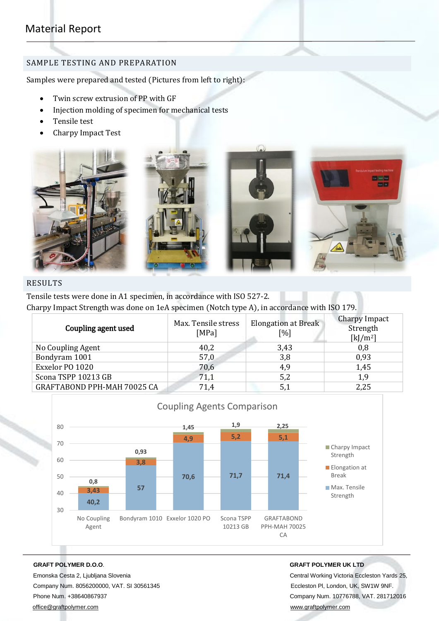# Material Report

# SAMPLE TESTING AND PREPARATION

Samples were prepared and tested (Pictures from left to right):

- Twin screw extrusion of PP with GF
- Injection molding of specimen for mechanical tests
- **•** Tensile test
- Charpy Impact Test



# RESULTS

Tensile tests were done in A1 specimen, in accordance with ISO 527-2. Charpy Impact Strength was done on 1eA specimen (Notch type A), in accordance with ISO 179.

| Coupling agent used         | Max. Tensile stress<br>[MPa] | <b>Elongation at Break</b><br>[%] | Charpy Impact<br>Strength<br>$[k]/m^2$ |
|-----------------------------|------------------------------|-----------------------------------|----------------------------------------|
| No Coupling Agent           | 40,2                         | 3,43                              | 0,8                                    |
| Bondyram 1001               | 57,0                         | 3,8                               | 0.93                                   |
| Exxelor PO 1020             | 70,6                         | 4,9                               | 1,45                                   |
| Scona TSPP 10213 GB         | 71,1                         | 5,2                               | 1,9                                    |
| GRAFTABOND PPH-MAH 70025 CA | 71,4                         |                                   | 2,25                                   |



### **GRAFT POLYMER D.O.O**. **GRAFT POLYMER UK LTD**

 Emonska Cesta 2, Ljubljana Slovenia Central Working Victoria Eccleston Yards 25, Company Num. 8056200000, VAT. SI 30561345 Eccleston Pl, London, UK, SW1W 9NF. Phone Num. +38640867937 Company Num. 10776788, VAT. 281712016 [office@graftpolymer.com](mailto:office@graftpolymer.com) [www.graftpolymer.com](http://www.graftpolymer.com/)